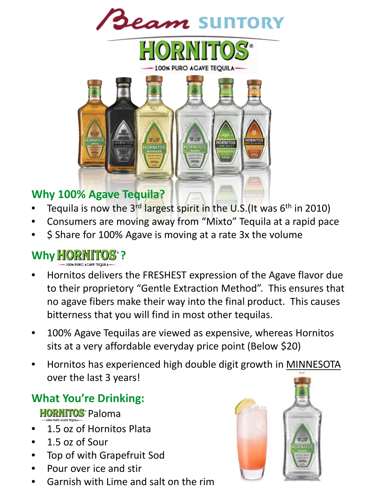**Jeam SUNTORY** 





#### **Why 100% Agave Tequila?**

- Tequila is now the  $3^{rd}$  largest spirit in the U.S. (It was  $6^{th}$  in 2010)
- Consumers are moving away from "Mixto" Tequila at a rapid pace
- \$ Share for 100% Agave is moving at a rate 3x the volume

### **Why HORNITO**

- Hornitos delivers the FRESHEST expression of the Agave flavor due to their proprietory "Gentle Extraction Method". This ensures that no agave fibers make their way into the final product. This causes bitterness that you will find in most other tequilas.
- 100% Agave Tequilas are viewed as expensive, whereas Hornitos sits at a very affordable everyday price point (Below \$20)
- Hornitos has experienced high double digit growth in MINNESOTA over the last 3 years!

### **What You're Drinking:**

**HORNITOS** Paloma

- 1.5 oz of Hornitos Plata
- 1.5 oz of Sour
- Top of with Grapefruit Sod
- Pour over ice and stir
- Garnish with Lime and salt on the rim

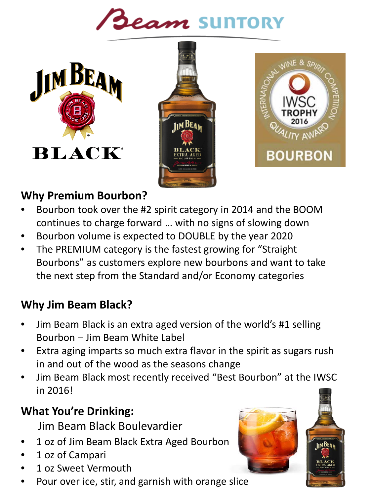# **Beam SUNTORY**







#### **Why Premium Bourbon?**

- Bourbon took over the #2 spirit category in 2014 and the BOOM continues to charge forward … with no signs of slowing down
- Bourbon volume is expected to DOUBLE by the year 2020
- The PREMIUM category is the fastest growing for "Straight" Bourbons" as customers explore new bourbons and want to take the next step from the Standard and/or Economy categories

#### **Why Jim Beam Black?**

- Jim Beam Black is an extra aged version of the world's #1 selling Bourbon – Jim Beam White Label
- Extra aging imparts so much extra flavor in the spirit as sugars rush in and out of the wood as the seasons change
- Jim Beam Black most recently received "Best Bourbon" at the IWSC in 2016!

#### **What You're Drinking:**

- Jim Beam Black Boulevardier
- 1 oz of Jim Beam Black Extra Aged Bourbon
- 1 oz of Campari
- 1 oz Sweet Vermouth
- Pour over ice, stir, and garnish with orange slice

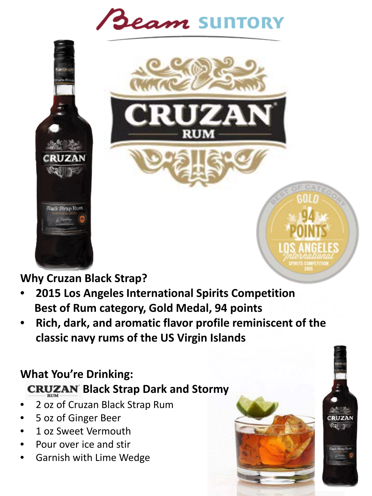# Beam SUNTORY



#### **Why Cruzan Black Strap?**

**Black Strap Rum** 

- **2015 Los Angeles International Spirits Competition Best of Rum category, Gold Medal, 94 points**
- **Rich, dark, and aromatic flavor profile reminiscent of the classic navy rums of the US Virgin Islands**

#### **What You're Drinking: CRUZAN Black Strap Dark and Stormy**

- 2 oz of Cruzan Black Strap Rum
- 5 oz of Ginger Beer
- 1 oz Sweet Vermouth
- Pour over ice and stir
- Garnish with Lime Wedge